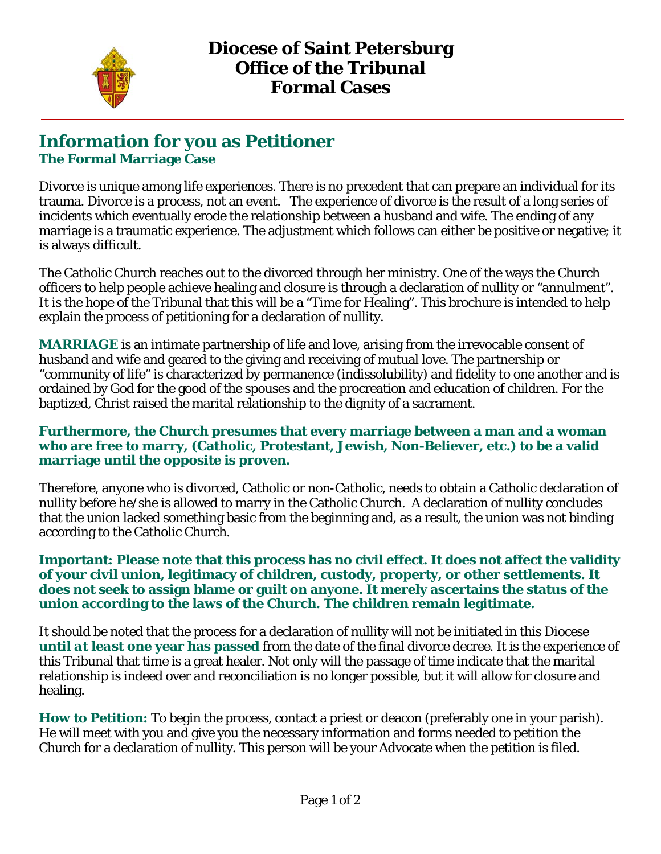

## **Information for you as Petitioner The Formal Marriage Case**

Divorce is unique among life experiences. There is no precedent that can prepare an individual for its trauma. Divorce is a process, not an event. The experience of divorce is the result of a long series of incidents which eventually erode the relationship between a husband and wife. The ending of any marriage is a traumatic experience. The adjustment which follows can either be positive or negative; it is always difficult.

The Catholic Church reaches out to the divorced through her ministry. One of the ways the Church officers to help people achieve healing and closure is through a declaration of nullity or "annulment". It is the hope of the Tribunal that this will be a "Time for Healing". This brochure is intended to help explain the process of petitioning for a declaration of nullity.

**MARRIAGE** is an intimate partnership of life and love, arising from the irrevocable consent of husband and wife and geared to the giving and receiving of mutual love. The partnership or "community of life" is characterized by permanence (indissolubility) and fidelity to one another and is ordained by God for the good of the spouses and the procreation and education of children. For the baptized, Christ raised the marital relationship to the dignity of a sacrament.

#### **Furthermore, the Church presumes that every marriage between a man and a woman who are free to marry, (Catholic, Protestant, Jewish, Non-Believer, etc.) to be a valid marriage until the opposite is proven.**

Therefore, anyone who is divorced, Catholic or non-Catholic, needs to obtain a Catholic declaration of nullity before he/she is allowed to marry in the Catholic Church. A declaration of nullity concludes that the union lacked something basic from the beginning and, as a result, the union was not binding according to the Catholic Church.

#### **Important: Please note that this process has no civil effect. It does not affect the validity of your civil union, legitimacy of children, custody, property, or other settlements. It does not seek to assign blame or guilt on anyone. It merely ascertains the status of the union according to the laws of the Church. The children remain legitimate.**

It should be noted that the process for a declaration of nullity will not be initiated in this Diocese **until** *at least* **one year has passed** from the date of the final divorce decree. It is the experience of this Tribunal that time is a great healer. Not only will the passage of time indicate that the marital relationship is indeed over and reconciliation is no longer possible, but it will allow for closure and healing.

**How to Petition:** To begin the process, contact a priest or deacon (preferably one in your parish). He will meet with you and give you the necessary information and forms needed to petition the Church for a declaration of nullity. This person will be your Advocate when the petition is filed.